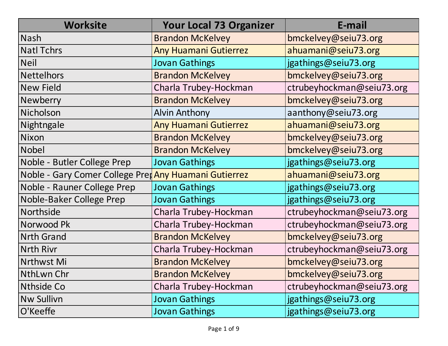| <b>Worksite</b>                                      | <b>Your Local 73 Organizer</b> | E-mail                    |
|------------------------------------------------------|--------------------------------|---------------------------|
| <b>Nash</b>                                          | <b>Brandon McKelvey</b>        | bmckelvey@seiu73.org      |
| <b>Natl Tchrs</b>                                    | <b>Any Huamani Gutierrez</b>   | ahuamani@seiu73.org       |
| <b>Neil</b>                                          | <b>Jovan Gathings</b>          | jgathings@seiu73.org      |
| <b>Nettelhors</b>                                    | <b>Brandon McKelvey</b>        | bmckelvey@seiu73.org      |
| <b>New Field</b>                                     | Charla Trubey-Hockman          | ctrubeyhockman@seiu73.org |
| Newberry                                             | <b>Brandon McKelvey</b>        | bmckelvey@seiu73.org      |
| <b>Nicholson</b>                                     | <b>Alvin Anthony</b>           | aanthony@seiu73.org       |
| Nightngale                                           | <b>Any Huamani Gutierrez</b>   | ahuamani@seiu73.org       |
| <b>Nixon</b>                                         | <b>Brandon McKelvey</b>        | bmckelvey@seiu73.org      |
| <b>Nobel</b>                                         | <b>Brandon McKelvey</b>        | bmckelvey@seiu73.org      |
| Noble - Butler College Prep                          | <b>Jovan Gathings</b>          | jgathings@seiu73.org      |
| Noble - Gary Comer College Pretany Huamani Gutierrez |                                | ahuamani@seiu73.org       |
| Noble - Rauner College Prep                          | <b>Jovan Gathings</b>          | jgathings@seiu73.org      |
| Noble-Baker College Prep                             | <b>Jovan Gathings</b>          | jgathings@seiu73.org      |
| Northside                                            | Charla Trubey-Hockman          | ctrubeyhockman@seiu73.org |
| Norwood Pk                                           | Charla Trubey-Hockman          | ctrubeyhockman@seiu73.org |
| <b>Nrth Grand</b>                                    | <b>Brandon McKelvey</b>        | bmckelvey@seiu73.org      |
| <b>Nrth Rivr</b>                                     | Charla Trubey-Hockman          | ctrubeyhockman@seiu73.org |
| Nrthwst Mi                                           | <b>Brandon McKelvey</b>        | bmckelvey@seiu73.org      |
| NthLwn Chr                                           | <b>Brandon McKelvey</b>        | bmckelvey@seiu73.org      |
| Nthside Co                                           | Charla Trubey-Hockman          | ctrubeyhockman@seiu73.org |
| <b>Nw Sullivn</b>                                    | <b>Jovan Gathings</b>          | jgathings@seiu73.org      |
| O'Keeffe                                             | <b>Jovan Gathings</b>          | jgathings@seiu73.org      |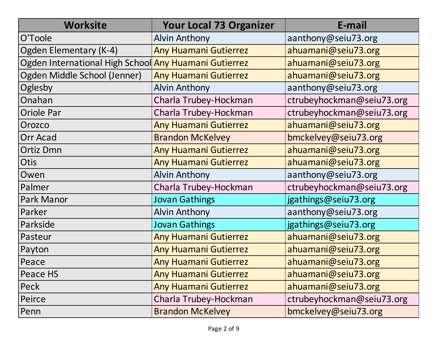| <b>Worksite</b>                                       | <b>Your Local 73 Organizer</b> | E-mail                    |
|-------------------------------------------------------|--------------------------------|---------------------------|
| O'Toole                                               | <b>Alvin Anthony</b>           | aanthony@seiu73.org       |
| Ogden Elementary (K-4)                                | <b>Any Huamani Gutierrez</b>   | ahuamani@seiu73.org       |
| Ogden International High School Any Huamani Gutierrez |                                | ahuamani@seiu73.org       |
| Ogden Middle School (Jenner)                          | <b>Any Huamani Gutierrez</b>   | ahuamani@seiu73.org       |
| Oglesby                                               | <b>Alvin Anthony</b>           | aanthony@seiu73.org       |
| Onahan                                                | Charla Trubey-Hockman          | ctrubeyhockman@seiu73.org |
| <b>Oriole Par</b>                                     | Charla Trubey-Hockman          | ctrubeyhockman@seiu73.org |
| Orozco                                                | <b>Any Huamani Gutierrez</b>   | ahuamani@seiu73.org       |
| <b>Orr Acad</b>                                       | <b>Brandon McKelvey</b>        | bmckelvey@seiu73.org      |
| <b>Ortiz Dmn</b>                                      | <b>Any Huamani Gutierrez</b>   | ahuamani@seiu73.org       |
| <b>Otis</b>                                           | <b>Any Huamani Gutierrez</b>   | ahuamani@seiu73.org       |
| Owen                                                  | <b>Alvin Anthony</b>           | aanthony@seiu73.org       |
| Palmer                                                | Charla Trubey-Hockman          | ctrubeyhockman@seiu73.org |
| Park Manor                                            | <b>Jovan Gathings</b>          | jgathings@seiu73.org      |
| Parker                                                | <b>Alvin Anthony</b>           | aanthony@seiu73.org       |
| Parkside                                              | <b>Jovan Gathings</b>          | jgathings@seiu73.org      |
| Pasteur                                               | <b>Any Huamani Gutierrez</b>   | ahuamani@seiu73.org       |
| Payton                                                | <b>Any Huamani Gutierrez</b>   | ahuamani@seiu73.org       |
| Peace                                                 | <b>Any Huamani Gutierrez</b>   | ahuamani@seiu73.org       |
| Peace HS                                              | <b>Any Huamani Gutierrez</b>   | ahuamani@seiu73.org       |
| Peck                                                  | <b>Any Huamani Gutierrez</b>   | ahuamani@seiu73.org       |
| Peirce                                                | Charla Trubey-Hockman          | ctrubeyhockman@seiu73.org |
| Penn                                                  | <b>Brandon McKelvey</b>        | bmckelvey@seiu73.org      |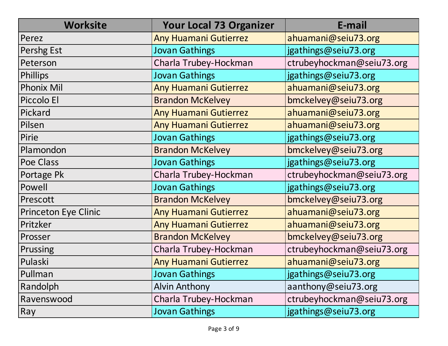| <b>Worksite</b>             | <b>Your Local 73 Organizer</b> | E-mail                    |
|-----------------------------|--------------------------------|---------------------------|
| Perez                       | <b>Any Huamani Gutierrez</b>   | ahuamani@seiu73.org       |
| Pershg Est                  | <b>Jovan Gathings</b>          | jgathings@seiu73.org      |
| Peterson                    | Charla Trubey-Hockman          | ctrubeyhockman@seiu73.org |
| <b>Phillips</b>             | <b>Jovan Gathings</b>          | jgathings@seiu73.org      |
| <b>Phonix Mil</b>           | <b>Any Huamani Gutierrez</b>   | ahuamani@seiu73.org       |
| Piccolo El                  | <b>Brandon McKelvey</b>        | bmckelvey@seiu73.org      |
| Pickard                     | <b>Any Huamani Gutierrez</b>   | ahuamani@seiu73.org       |
| Pilsen                      | <b>Any Huamani Gutierrez</b>   | ahuamani@seiu73.org       |
| Pirie                       | <b>Jovan Gathings</b>          | jgathings@seiu73.org      |
| Plamondon                   | <b>Brandon McKelvey</b>        | bmckelvey@seiu73.org      |
| Poe Class                   | <b>Jovan Gathings</b>          | jgathings@seiu73.org      |
| Portage Pk                  | Charla Trubey-Hockman          | ctrubeyhockman@seiu73.org |
| Powell                      | <b>Jovan Gathings</b>          | jgathings@seiu73.org      |
| Prescott                    | <b>Brandon McKelvey</b>        | bmckelvey@seiu73.org      |
| <b>Princeton Eye Clinic</b> | <b>Any Huamani Gutierrez</b>   | ahuamani@seiu73.org       |
| Pritzker                    | <b>Any Huamani Gutierrez</b>   | ahuamani@seiu73.org       |
| Prosser                     | <b>Brandon McKelvey</b>        | bmckelvey@seiu73.org      |
| Prussing                    | Charla Trubey-Hockman          | ctrubeyhockman@seiu73.org |
| Pulaski                     | <b>Any Huamani Gutierrez</b>   | ahuamani@seiu73.org       |
| Pullman                     | <b>Jovan Gathings</b>          | jgathings@seiu73.org      |
| Randolph                    | <b>Alvin Anthony</b>           | aanthony@seiu73.org       |
| Ravenswood                  | Charla Trubey-Hockman          | ctrubeyhockman@seiu73.org |
| Ray                         | <b>Jovan Gathings</b>          | jgathings@seiu73.org      |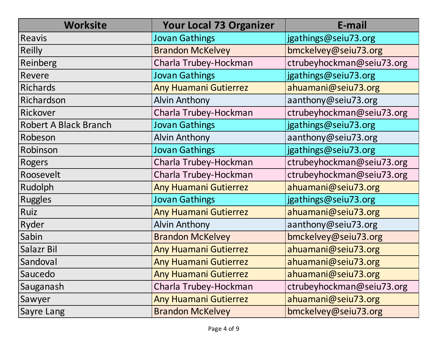| <b>Worksite</b>              | <b>Your Local 73 Organizer</b> | E-mail                    |
|------------------------------|--------------------------------|---------------------------|
| <b>Reavis</b>                | <b>Jovan Gathings</b>          | jgathings@seiu73.org      |
| <b>Reilly</b>                | <b>Brandon McKelvey</b>        | bmckelvey@seiu73.org      |
| Reinberg                     | Charla Trubey-Hockman          | ctrubeyhockman@seiu73.org |
| Revere                       | <b>Jovan Gathings</b>          | jgathings@seiu73.org      |
| <b>Richards</b>              | <b>Any Huamani Gutierrez</b>   | ahuamani@seiu73.org       |
| Richardson                   | <b>Alvin Anthony</b>           | aanthony@seiu73.org       |
| Rickover                     | Charla Trubey-Hockman          | ctrubeyhockman@seiu73.org |
| <b>Robert A Black Branch</b> | <b>Jovan Gathings</b>          | jgathings@seiu73.org      |
| Robeson                      | <b>Alvin Anthony</b>           | aanthony@seiu73.org       |
| Robinson                     | <b>Jovan Gathings</b>          | jgathings@seiu73.org      |
| <b>Rogers</b>                | Charla Trubey-Hockman          | ctrubeyhockman@seiu73.org |
| Roosevelt                    | Charla Trubey-Hockman          | ctrubeyhockman@seiu73.org |
| Rudolph                      | <b>Any Huamani Gutierrez</b>   | ahuamani@seiu73.org       |
| <b>Ruggles</b>               | <b>Jovan Gathings</b>          | jgathings@seiu73.org      |
| Ruiz                         | <b>Any Huamani Gutierrez</b>   | ahuamani@seiu73.org       |
| Ryder                        | <b>Alvin Anthony</b>           | aanthony@seiu73.org       |
| Sabin                        | <b>Brandon McKelvey</b>        | bmckelvey@seiu73.org      |
| Salazr Bil                   | <b>Any Huamani Gutierrez</b>   | ahuamani@seiu73.org       |
| Sandoval                     | <b>Any Huamani Gutierrez</b>   | ahuamani@seiu73.org       |
| Saucedo                      | <b>Any Huamani Gutierrez</b>   | ahuamani@seiu73.org       |
| Sauganash                    | Charla Trubey-Hockman          | ctrubeyhockman@seiu73.org |
| Sawyer                       | <b>Any Huamani Gutierrez</b>   | ahuamani@seiu73.org       |
| Sayre Lang                   | <b>Brandon McKelvey</b>        | bmckelvey@seiu73.org      |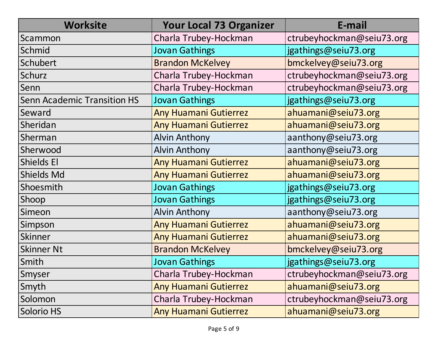| <b>Worksite</b>                    | <b>Your Local 73 Organizer</b> | E-mail                    |
|------------------------------------|--------------------------------|---------------------------|
| Scammon                            | Charla Trubey-Hockman          | ctrubeyhockman@seiu73.org |
| Schmid                             | <b>Jovan Gathings</b>          | jgathings@seiu73.org      |
| Schubert                           | <b>Brandon McKelvey</b>        | bmckelvey@seiu73.org      |
| Schurz                             | Charla Trubey-Hockman          | ctrubeyhockman@seiu73.org |
| Senn                               | Charla Trubey-Hockman          | ctrubeyhockman@seiu73.org |
| <b>Senn Academic Transition HS</b> | <b>Jovan Gathings</b>          | jgathings@seiu73.org      |
| Seward                             | Any Huamani Gutierrez          | ahuamani@seiu73.org       |
| Sheridan                           | <b>Any Huamani Gutierrez</b>   | ahuamani@seiu73.org       |
| Sherman                            | <b>Alvin Anthony</b>           | aanthony@seiu73.org       |
| Sherwood                           | <b>Alvin Anthony</b>           | aanthony@seiu73.org       |
| <b>Shields El</b>                  | Any Huamani Gutierrez          | ahuamani@seiu73.org       |
| <b>Shields Md</b>                  | <b>Any Huamani Gutierrez</b>   | ahuamani@seiu73.org       |
| Shoesmith                          | <b>Jovan Gathings</b>          | jgathings@seiu73.org      |
| Shoop                              | <b>Jovan Gathings</b>          | jgathings@seiu73.org      |
| Simeon                             | <b>Alvin Anthony</b>           | aanthony@seiu73.org       |
| Simpson                            | <b>Any Huamani Gutierrez</b>   | ahuamani@seiu73.org       |
| Skinner                            | <b>Any Huamani Gutierrez</b>   | ahuamani@seiu73.org       |
| <b>Skinner Nt</b>                  | <b>Brandon McKelvey</b>        | bmckelvey@seiu73.org      |
| Smith                              | <b>Jovan Gathings</b>          | jgathings@seiu73.org      |
| Smyser                             | Charla Trubey-Hockman          | ctrubeyhockman@seiu73.org |
| Smyth                              | <b>Any Huamani Gutierrez</b>   | ahuamani@seiu73.org       |
| Solomon                            | Charla Trubey-Hockman          | ctrubeyhockman@seiu73.org |
| Solorio HS                         | <b>Any Huamani Gutierrez</b>   | ahuamani@seiu73.org       |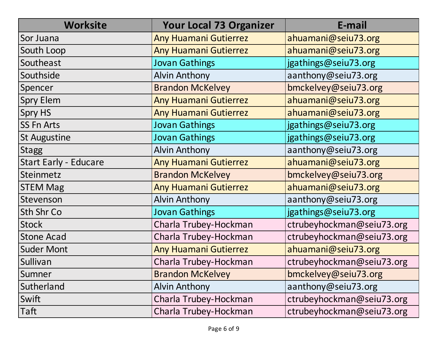| <b>Worksite</b>              | <b>Your Local 73 Organizer</b> | E-mail                    |
|------------------------------|--------------------------------|---------------------------|
| Sor Juana                    | Any Huamani Gutierrez          | ahuamani@seiu73.org       |
| South Loop                   | <b>Any Huamani Gutierrez</b>   | ahuamani@seiu73.org       |
| Southeast                    | <b>Jovan Gathings</b>          | jgathings@seiu73.org      |
| Southside                    | <b>Alvin Anthony</b>           | aanthony@seiu73.org       |
| Spencer                      | <b>Brandon McKelvey</b>        | bmckelvey@seiu73.org      |
| <b>Spry Elem</b>             | <b>Any Huamani Gutierrez</b>   | ahuamani@seiu73.org       |
| <b>Spry HS</b>               | <b>Any Huamani Gutierrez</b>   | ahuamani@seiu73.org       |
| <b>SS Fn Arts</b>            | <b>Jovan Gathings</b>          | jgathings@seiu73.org      |
| <b>St Augustine</b>          | <b>Jovan Gathings</b>          | jgathings@seiu73.org      |
| <b>Stagg</b>                 | <b>Alvin Anthony</b>           | aanthony@seiu73.org       |
| <b>Start Early - Educare</b> | <b>Any Huamani Gutierrez</b>   | ahuamani@seiu73.org       |
| <b>Steinmetz</b>             | <b>Brandon McKelvey</b>        | bmckelvey@seiu73.org      |
| <b>STEM Mag</b>              | <b>Any Huamani Gutierrez</b>   | ahuamani@seiu73.org       |
| Stevenson                    | <b>Alvin Anthony</b>           | aanthony@seiu73.org       |
| Sth Shr Co                   | <b>Jovan Gathings</b>          | jgathings@seiu73.org      |
| <b>Stock</b>                 | Charla Trubey-Hockman          | ctrubeyhockman@seiu73.org |
| <b>Stone Acad</b>            | Charla Trubey-Hockman          | ctrubeyhockman@seiu73.org |
| <b>Suder Mont</b>            | <b>Any Huamani Gutierrez</b>   | ahuamani@seiu73.org       |
| Sullivan                     | Charla Trubey-Hockman          | ctrubeyhockman@seiu73.org |
| Sumner                       | <b>Brandon McKelvey</b>        | bmckelvey@seiu73.org      |
| Sutherland                   | <b>Alvin Anthony</b>           | aanthony@seiu73.org       |
| Swift                        | Charla Trubey-Hockman          | ctrubeyhockman@seiu73.org |
| Taft                         | Charla Trubey-Hockman          | ctrubeyhockman@seiu73.org |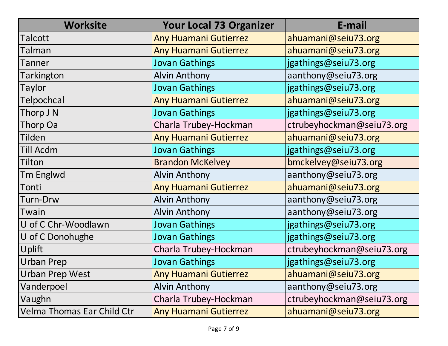| <b>Worksite</b>                   | <b>Your Local 73 Organizer</b> | E-mail                    |
|-----------------------------------|--------------------------------|---------------------------|
| Talcott                           | Any Huamani Gutierrez          | ahuamani@seiu73.org       |
| Talman                            | <b>Any Huamani Gutierrez</b>   | ahuamani@seiu73.org       |
| Tanner                            | <b>Jovan Gathings</b>          | jgathings@seiu73.org      |
| Tarkington                        | <b>Alvin Anthony</b>           | aanthony@seiu73.org       |
| Taylor                            | <b>Jovan Gathings</b>          | jgathings@seiu73.org      |
| Telpochcal                        | <b>Any Huamani Gutierrez</b>   | ahuamani@seiu73.org       |
| Thorp J N                         | <b>Jovan Gathings</b>          | jgathings@seiu73.org      |
| Thorp Oa                          | Charla Trubey-Hockman          | ctrubeyhockman@seiu73.org |
| Tilden                            | <b>Any Huamani Gutierrez</b>   | ahuamani@seiu73.org       |
| Till Acdm                         | <b>Jovan Gathings</b>          | jgathings@seiu73.org      |
| Tilton                            | <b>Brandon McKelvey</b>        | bmckelvey@seiu73.org      |
| <b>Tm Englwd</b>                  | <b>Alvin Anthony</b>           | aanthony@seiu73.org       |
| Tonti                             | Any Huamani Gutierrez          | ahuamani@seiu73.org       |
| <b>Turn-Drw</b>                   | <b>Alvin Anthony</b>           | aanthony@seiu73.org       |
| Twain                             | <b>Alvin Anthony</b>           | aanthony@seiu73.org       |
| U of C Chr-Woodlawn               | <b>Jovan Gathings</b>          | jgathings@seiu73.org      |
| U of C Donohughe                  | <b>Jovan Gathings</b>          | jgathings@seiu73.org      |
| Uplift                            | Charla Trubey-Hockman          | ctrubeyhockman@seiu73.org |
| <b>Urban Prep</b>                 | <b>Jovan Gathings</b>          | jgathings@seiu73.org      |
| <b>Urban Prep West</b>            | <b>Any Huamani Gutierrez</b>   | ahuamani@seiu73.org       |
| Vanderpoel                        | <b>Alvin Anthony</b>           | aanthony@seiu73.org       |
| Vaughn                            | Charla Trubey-Hockman          | ctrubeyhockman@seiu73.org |
| <b>Velma Thomas Ear Child Ctr</b> | <b>Any Huamani Gutierrez</b>   | ahuamani@seiu73.org       |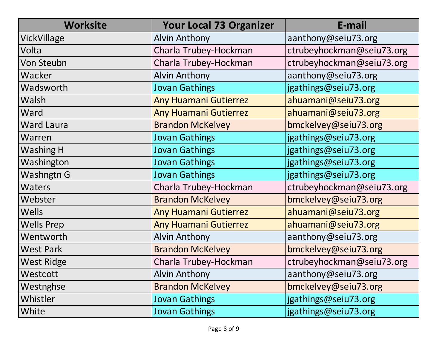| <b>Worksite</b>   | <b>Your Local 73 Organizer</b> | E-mail                    |
|-------------------|--------------------------------|---------------------------|
| VickVillage       | <b>Alvin Anthony</b>           | aanthony@seiu73.org       |
| Volta             | Charla Trubey-Hockman          | ctrubeyhockman@seiu73.org |
| <b>Von Steubn</b> | Charla Trubey-Hockman          | ctrubeyhockman@seiu73.org |
| Wacker            | <b>Alvin Anthony</b>           | aanthony@seiu73.org       |
| Wadsworth         | <b>Jovan Gathings</b>          | jgathings@seiu73.org      |
| Walsh             | <b>Any Huamani Gutierrez</b>   | ahuamani@seiu73.org       |
| Ward              | <b>Any Huamani Gutierrez</b>   | ahuamani@seiu73.org       |
| <b>Ward Laura</b> | <b>Brandon McKelvey</b>        | bmckelvey@seiu73.org      |
| Warren            | <b>Jovan Gathings</b>          | jgathings@seiu73.org      |
| Washing H         | <b>Jovan Gathings</b>          | jgathings@seiu73.org      |
| Washington        | <b>Jovan Gathings</b>          | jgathings@seiu73.org      |
| Washngtn G        | <b>Jovan Gathings</b>          | jgathings@seiu73.org      |
| <b>Waters</b>     | Charla Trubey-Hockman          | ctrubeyhockman@seiu73.org |
| Webster           | <b>Brandon McKelvey</b>        | bmckelvey@seiu73.org      |
| <b>Wells</b>      | <b>Any Huamani Gutierrez</b>   | ahuamani@seiu73.org       |
| <b>Wells Prep</b> | <b>Any Huamani Gutierrez</b>   | ahuamani@seiu73.org       |
| Wentworth         | <b>Alvin Anthony</b>           | aanthony@seiu73.org       |
| <b>West Park</b>  | <b>Brandon McKelvey</b>        | bmckelvey@seiu73.org      |
| <b>West Ridge</b> | Charla Trubey-Hockman          | ctrubeyhockman@seiu73.org |
| Westcott          | <b>Alvin Anthony</b>           | aanthony@seiu73.org       |
| Westnghse         | <b>Brandon McKelvey</b>        | bmckelvey@seiu73.org      |
| Whistler          | <b>Jovan Gathings</b>          | jgathings@seiu73.org      |
| White             | <b>Jovan Gathings</b>          | jgathings@seiu73.org      |